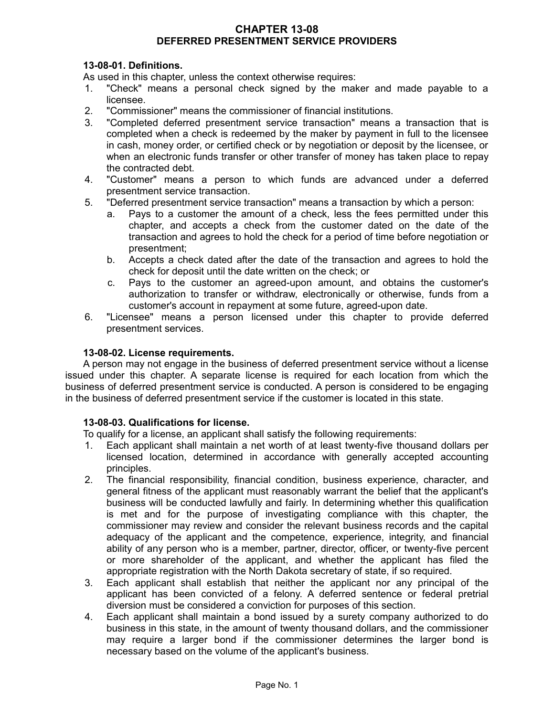### **CHAPTER 13-08 DEFERRED PRESENTMENT SERVICE PROVIDERS**

## **13-08-01. Definitions.**

As used in this chapter, unless the context otherwise requires:

- 1. "Check" means a personal check signed by the maker and made payable to a licensee.
- 2. "Commissioner" means the commissioner of financial institutions.
- 3. "Completed deferred presentment service transaction" means a transaction that is completed when a check is redeemed by the maker by payment in full to the licensee in cash, money order, or certified check or by negotiation or deposit by the licensee, or when an electronic funds transfer or other transfer of money has taken place to repay the contracted debt.
- 4. "Customer" means a person to which funds are advanced under a deferred presentment service transaction.
- 5. "Deferred presentment service transaction" means a transaction by which a person:
	- a. Pays to a customer the amount of a check, less the fees permitted under this chapter, and accepts a check from the customer dated on the date of the transaction and agrees to hold the check for a period of time before negotiation or presentment;
	- b. Accepts a check dated after the date of the transaction and agrees to hold the check for deposit until the date written on the check; or
	- c. Pays to the customer an agreed-upon amount, and obtains the customer's authorization to transfer or withdraw, electronically or otherwise, funds from a customer's account in repayment at some future, agreed-upon date.
- 6. "Licensee" means a person licensed under this chapter to provide deferred presentment services.

### **13-08-02. License requirements.**

A person may not engage in the business of deferred presentment service without a license issued under this chapter. A separate license is required for each location from which the business of deferred presentment service is conducted. A person is considered to be engaging in the business of deferred presentment service if the customer is located in this state.

### **13-08-03. Qualifications for license.**

To qualify for a license, an applicant shall satisfy the following requirements:

- 1. Each applicant shall maintain a net worth of at least twenty-five thousand dollars per licensed location, determined in accordance with generally accepted accounting principles.
- 2. The financial responsibility, financial condition, business experience, character, and general fitness of the applicant must reasonably warrant the belief that the applicant's business will be conducted lawfully and fairly. In determining whether this qualification is met and for the purpose of investigating compliance with this chapter, the commissioner may review and consider the relevant business records and the capital adequacy of the applicant and the competence, experience, integrity, and financial ability of any person who is a member, partner, director, officer, or twenty-five percent or more shareholder of the applicant, and whether the applicant has filed the appropriate registration with the North Dakota secretary of state, if so required.
- 3. Each applicant shall establish that neither the applicant nor any principal of the applicant has been convicted of a felony. A deferred sentence or federal pretrial diversion must be considered a conviction for purposes of this section.
- 4. Each applicant shall maintain a bond issued by a surety company authorized to do business in this state, in the amount of twenty thousand dollars, and the commissioner may require a larger bond if the commissioner determines the larger bond is necessary based on the volume of the applicant's business.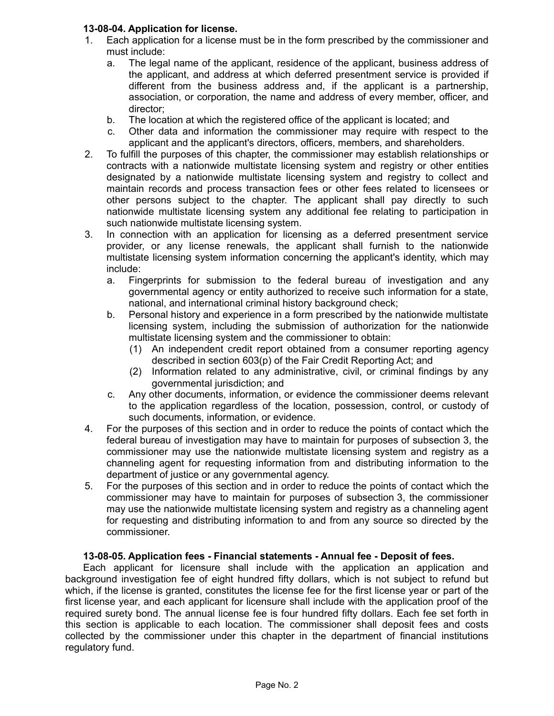# **13-08-04. Application for license.**

- 1. Each application for a license must be in the form prescribed by the commissioner and must include:
	- a. The legal name of the applicant, residence of the applicant, business address of the applicant, and address at which deferred presentment service is provided if different from the business address and, if the applicant is a partnership, association, or corporation, the name and address of every member, officer, and director;
	- b. The location at which the registered office of the applicant is located; and
	- c. Other data and information the commissioner may require with respect to the applicant and the applicant's directors, officers, members, and shareholders.
- 2. To fulfill the purposes of this chapter, the commissioner may establish relationships or contracts with a nationwide multistate licensing system and registry or other entities designated by a nationwide multistate licensing system and registry to collect and maintain records and process transaction fees or other fees related to licensees or other persons subject to the chapter. The applicant shall pay directly to such nationwide multistate licensing system any additional fee relating to participation in such nationwide multistate licensing system.
- 3. In connection with an application for licensing as a deferred presentment service provider, or any license renewals, the applicant shall furnish to the nationwide multistate licensing system information concerning the applicant's identity, which may include:
	- a. Fingerprints for submission to the federal bureau of investigation and any governmental agency or entity authorized to receive such information for a state, national, and international criminal history background check;
	- b. Personal history and experience in a form prescribed by the nationwide multistate licensing system, including the submission of authorization for the nationwide multistate licensing system and the commissioner to obtain:
		- (1) An independent credit report obtained from a consumer reporting agency described in section 603(p) of the Fair Credit Reporting Act; and
		- (2) Information related to any administrative, civil, or criminal findings by any governmental jurisdiction; and
	- c. Any other documents, information, or evidence the commissioner deems relevant to the application regardless of the location, possession, control, or custody of such documents, information, or evidence.
- 4. For the purposes of this section and in order to reduce the points of contact which the federal bureau of investigation may have to maintain for purposes of subsection 3, the commissioner may use the nationwide multistate licensing system and registry as a channeling agent for requesting information from and distributing information to the department of justice or any governmental agency.
- 5. For the purposes of this section and in order to reduce the points of contact which the commissioner may have to maintain for purposes of subsection 3, the commissioner may use the nationwide multistate licensing system and registry as a channeling agent for requesting and distributing information to and from any source so directed by the commissioner.

# **13-08-05. Application fees - Financial statements - Annual fee - Deposit of fees.**

Each applicant for licensure shall include with the application an application and background investigation fee of eight hundred fifty dollars, which is not subject to refund but which, if the license is granted, constitutes the license fee for the first license year or part of the first license year, and each applicant for licensure shall include with the application proof of the required surety bond. The annual license fee is four hundred fifty dollars. Each fee set forth in this section is applicable to each location. The commissioner shall deposit fees and costs collected by the commissioner under this chapter in the department of financial institutions regulatory fund.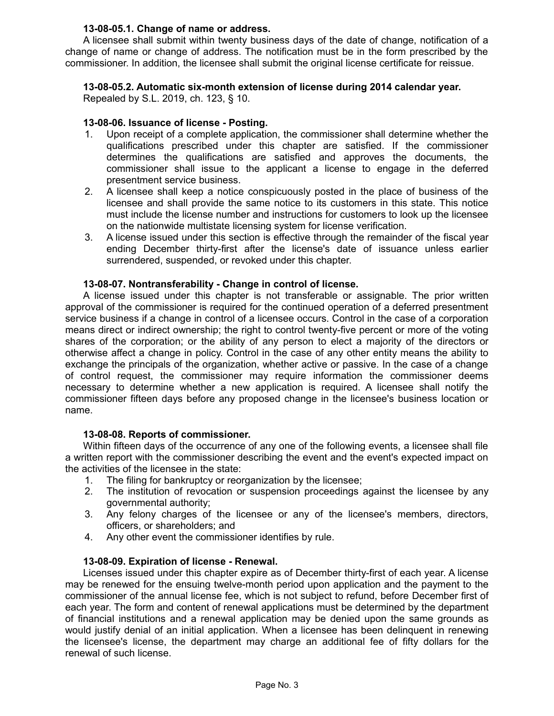# **13-08-05.1. Change of name or address.**

A licensee shall submit within twenty business days of the date of change, notification of a change of name or change of address. The notification must be in the form prescribed by the commissioner. In addition, the licensee shall submit the original license certificate for reissue.

# **13-08-05.2. Automatic six-month extension of license during 2014 calendar year.**

Repealed by S.L. 2019, ch. 123, § 10.

## **13-08-06. Issuance of license - Posting.**

- 1. Upon receipt of a complete application, the commissioner shall determine whether the qualifications prescribed under this chapter are satisfied. If the commissioner determines the qualifications are satisfied and approves the documents, the commissioner shall issue to the applicant a license to engage in the deferred presentment service business.
- 2. A licensee shall keep a notice conspicuously posted in the place of business of the licensee and shall provide the same notice to its customers in this state. This notice must include the license number and instructions for customers to look up the licensee on the nationwide multistate licensing system for license verification.
- 3. A license issued under this section is effective through the remainder of the fiscal year ending December thirty-first after the license's date of issuance unless earlier surrendered, suspended, or revoked under this chapter.

### **13-08-07. Nontransferability - Change in control of license.**

A license issued under this chapter is not transferable or assignable. The prior written approval of the commissioner is required for the continued operation of a deferred presentment service business if a change in control of a licensee occurs. Control in the case of a corporation means direct or indirect ownership; the right to control twenty-five percent or more of the voting shares of the corporation; or the ability of any person to elect a majority of the directors or otherwise affect a change in policy. Control in the case of any other entity means the ability to exchange the principals of the organization, whether active or passive. In the case of a change of control request, the commissioner may require information the commissioner deems necessary to determine whether a new application is required. A licensee shall notify the commissioner fifteen days before any proposed change in the licensee's business location or name.

### **13-08-08. Reports of commissioner.**

Within fifteen days of the occurrence of any one of the following events, a licensee shall file a written report with the commissioner describing the event and the event's expected impact on the activities of the licensee in the state:

- 1. The filing for bankruptcy or reorganization by the licensee;
- 2. The institution of revocation or suspension proceedings against the licensee by any governmental authority;
- 3. Any felony charges of the licensee or any of the licensee's members, directors, officers, or shareholders; and
- 4. Any other event the commissioner identifies by rule.

### **13-08-09. Expiration of license - Renewal.**

Licenses issued under this chapter expire as of December thirty-first of each year. A license may be renewed for the ensuing twelve-month period upon application and the payment to the commissioner of the annual license fee, which is not subject to refund, before December first of each year. The form and content of renewal applications must be determined by the department of financial institutions and a renewal application may be denied upon the same grounds as would justify denial of an initial application. When a licensee has been delinquent in renewing the licensee's license, the department may charge an additional fee of fifty dollars for the renewal of such license.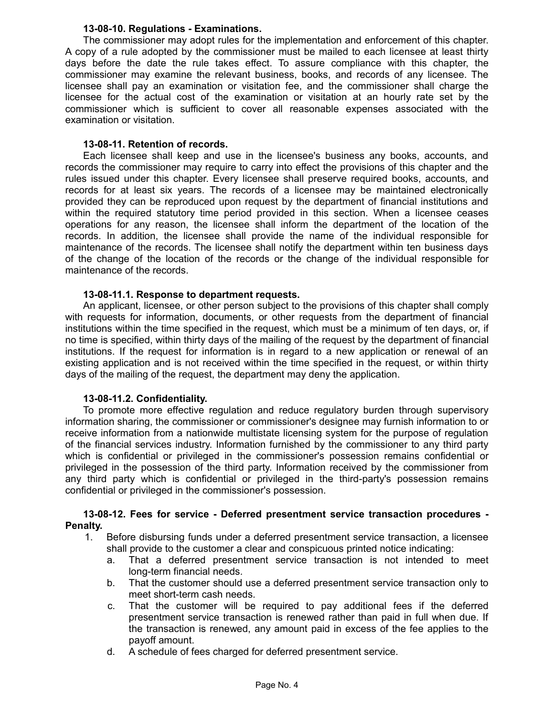### **13-08-10. Regulations - Examinations.**

The commissioner may adopt rules for the implementation and enforcement of this chapter. A copy of a rule adopted by the commissioner must be mailed to each licensee at least thirty days before the date the rule takes effect. To assure compliance with this chapter, the commissioner may examine the relevant business, books, and records of any licensee. The licensee shall pay an examination or visitation fee, and the commissioner shall charge the licensee for the actual cost of the examination or visitation at an hourly rate set by the commissioner which is sufficient to cover all reasonable expenses associated with the examination or visitation.

### **13-08-11. Retention of records.**

Each licensee shall keep and use in the licensee's business any books, accounts, and records the commissioner may require to carry into effect the provisions of this chapter and the rules issued under this chapter. Every licensee shall preserve required books, accounts, and records for at least six years. The records of a licensee may be maintained electronically provided they can be reproduced upon request by the department of financial institutions and within the required statutory time period provided in this section. When a licensee ceases operations for any reason, the licensee shall inform the department of the location of the records. In addition, the licensee shall provide the name of the individual responsible for maintenance of the records. The licensee shall notify the department within ten business days of the change of the location of the records or the change of the individual responsible for maintenance of the records.

### **13-08-11.1. Response to department requests.**

An applicant, licensee, or other person subject to the provisions of this chapter shall comply with requests for information, documents, or other requests from the department of financial institutions within the time specified in the request, which must be a minimum of ten days, or, if no time is specified, within thirty days of the mailing of the request by the department of financial institutions. If the request for information is in regard to a new application or renewal of an existing application and is not received within the time specified in the request, or within thirty days of the mailing of the request, the department may deny the application.

# **13-08-11.2. Confidentiality.**

To promote more effective regulation and reduce regulatory burden through supervisory information sharing, the commissioner or commissioner's designee may furnish information to or receive information from a nationwide multistate licensing system for the purpose of regulation of the financial services industry. Information furnished by the commissioner to any third party which is confidential or privileged in the commissioner's possession remains confidential or privileged in the possession of the third party. Information received by the commissioner from any third party which is confidential or privileged in the third-party's possession remains confidential or privileged in the commissioner's possession.

### **13-08-12. Fees for service - Deferred presentment service transaction procedures - Penalty.**

- 1. Before disbursing funds under a deferred presentment service transaction, a licensee shall provide to the customer a clear and conspicuous printed notice indicating:
	- a. That a deferred presentment service transaction is not intended to meet long-term financial needs.
	- b. That the customer should use a deferred presentment service transaction only to meet short-term cash needs.
	- c. That the customer will be required to pay additional fees if the deferred presentment service transaction is renewed rather than paid in full when due. If the transaction is renewed, any amount paid in excess of the fee applies to the payoff amount.
	- d. A schedule of fees charged for deferred presentment service.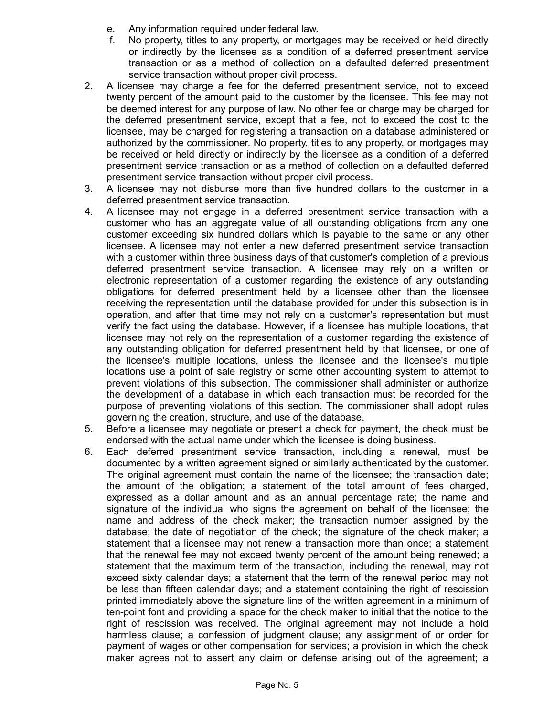- e. Any information required under federal law.
- f. No property, titles to any property, or mortgages may be received or held directly or indirectly by the licensee as a condition of a deferred presentment service transaction or as a method of collection on a defaulted deferred presentment service transaction without proper civil process.
- 2. A licensee may charge a fee for the deferred presentment service, not to exceed twenty percent of the amount paid to the customer by the licensee. This fee may not be deemed interest for any purpose of law. No other fee or charge may be charged for the deferred presentment service, except that a fee, not to exceed the cost to the licensee, may be charged for registering a transaction on a database administered or authorized by the commissioner. No property, titles to any property, or mortgages may be received or held directly or indirectly by the licensee as a condition of a deferred presentment service transaction or as a method of collection on a defaulted deferred presentment service transaction without proper civil process.
- 3. A licensee may not disburse more than five hundred dollars to the customer in a deferred presentment service transaction.
- 4. A licensee may not engage in a deferred presentment service transaction with a customer who has an aggregate value of all outstanding obligations from any one customer exceeding six hundred dollars which is payable to the same or any other licensee. A licensee may not enter a new deferred presentment service transaction with a customer within three business days of that customer's completion of a previous deferred presentment service transaction. A licensee may rely on a written or electronic representation of a customer regarding the existence of any outstanding obligations for deferred presentment held by a licensee other than the licensee receiving the representation until the database provided for under this subsection is in operation, and after that time may not rely on a customer's representation but must verify the fact using the database. However, if a licensee has multiple locations, that licensee may not rely on the representation of a customer regarding the existence of any outstanding obligation for deferred presentment held by that licensee, or one of the licensee's multiple locations, unless the licensee and the licensee's multiple locations use a point of sale registry or some other accounting system to attempt to prevent violations of this subsection. The commissioner shall administer or authorize the development of a database in which each transaction must be recorded for the purpose of preventing violations of this section. The commissioner shall adopt rules governing the creation, structure, and use of the database.
- 5. Before a licensee may negotiate or present a check for payment, the check must be endorsed with the actual name under which the licensee is doing business.
- 6. Each deferred presentment service transaction, including a renewal, must be documented by a written agreement signed or similarly authenticated by the customer. The original agreement must contain the name of the licensee; the transaction date; the amount of the obligation; a statement of the total amount of fees charged, expressed as a dollar amount and as an annual percentage rate; the name and signature of the individual who signs the agreement on behalf of the licensee; the name and address of the check maker; the transaction number assigned by the database; the date of negotiation of the check; the signature of the check maker; a statement that a licensee may not renew a transaction more than once; a statement that the renewal fee may not exceed twenty percent of the amount being renewed; a statement that the maximum term of the transaction, including the renewal, may not exceed sixty calendar days; a statement that the term of the renewal period may not be less than fifteen calendar days; and a statement containing the right of rescission printed immediately above the signature line of the written agreement in a minimum of ten-point font and providing a space for the check maker to initial that the notice to the right of rescission was received. The original agreement may not include a hold harmless clause; a confession of judgment clause; any assignment of or order for payment of wages or other compensation for services; a provision in which the check maker agrees not to assert any claim or defense arising out of the agreement; a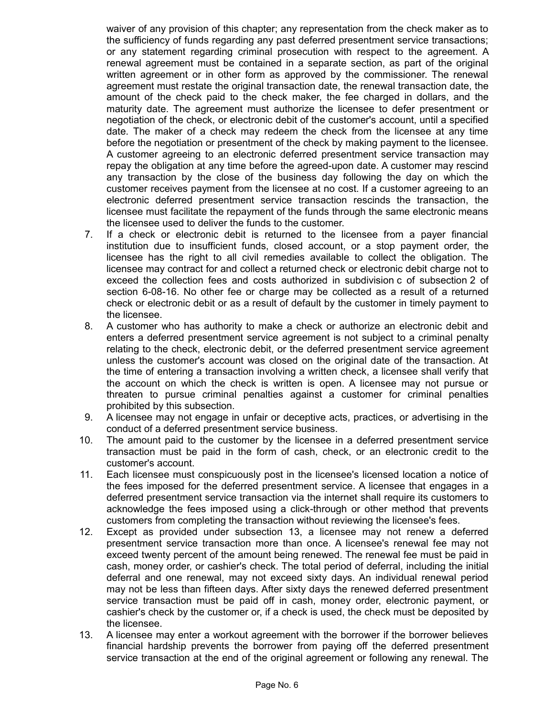waiver of any provision of this chapter; any representation from the check maker as to the sufficiency of funds regarding any past deferred presentment service transactions; or any statement regarding criminal prosecution with respect to the agreement. A renewal agreement must be contained in a separate section, as part of the original written agreement or in other form as approved by the commissioner. The renewal agreement must restate the original transaction date, the renewal transaction date, the amount of the check paid to the check maker, the fee charged in dollars, and the maturity date. The agreement must authorize the licensee to defer presentment or negotiation of the check, or electronic debit of the customer's account, until a specified date. The maker of a check may redeem the check from the licensee at any time before the negotiation or presentment of the check by making payment to the licensee. A customer agreeing to an electronic deferred presentment service transaction may repay the obligation at any time before the agreed-upon date. A customer may rescind any transaction by the close of the business day following the day on which the customer receives payment from the licensee at no cost. If a customer agreeing to an electronic deferred presentment service transaction rescinds the transaction, the licensee must facilitate the repayment of the funds through the same electronic means the licensee used to deliver the funds to the customer.

- 7. If a check or electronic debit is returned to the licensee from a payer financial institution due to insufficient funds, closed account, or a stop payment order, the licensee has the right to all civil remedies available to collect the obligation. The licensee may contract for and collect a returned check or electronic debit charge not to exceed the collection fees and costs authorized in subdivision c of subsection 2 of section 6-08-16. No other fee or charge may be collected as a result of a returned check or electronic debit or as a result of default by the customer in timely payment to the licensee.
- 8. A customer who has authority to make a check or authorize an electronic debit and enters a deferred presentment service agreement is not subject to a criminal penalty relating to the check, electronic debit, or the deferred presentment service agreement unless the customer's account was closed on the original date of the transaction. At the time of entering a transaction involving a written check, a licensee shall verify that the account on which the check is written is open. A licensee may not pursue or threaten to pursue criminal penalties against a customer for criminal penalties prohibited by this subsection.
- 9. A licensee may not engage in unfair or deceptive acts, practices, or advertising in the conduct of a deferred presentment service business.
- 10. The amount paid to the customer by the licensee in a deferred presentment service transaction must be paid in the form of cash, check, or an electronic credit to the customer's account.
- 11. Each licensee must conspicuously post in the licensee's licensed location a notice of the fees imposed for the deferred presentment service. A licensee that engages in a deferred presentment service transaction via the internet shall require its customers to acknowledge the fees imposed using a click-through or other method that prevents customers from completing the transaction without reviewing the licensee's fees.
- 12. Except as provided under subsection 13, a licensee may not renew a deferred presentment service transaction more than once. A licensee's renewal fee may not exceed twenty percent of the amount being renewed. The renewal fee must be paid in cash, money order, or cashier's check. The total period of deferral, including the initial deferral and one renewal, may not exceed sixty days. An individual renewal period may not be less than fifteen days. After sixty days the renewed deferred presentment service transaction must be paid off in cash, money order, electronic payment, or cashier's check by the customer or, if a check is used, the check must be deposited by the licensee.
- 13. A licensee may enter a workout agreement with the borrower if the borrower believes financial hardship prevents the borrower from paying off the deferred presentment service transaction at the end of the original agreement or following any renewal. The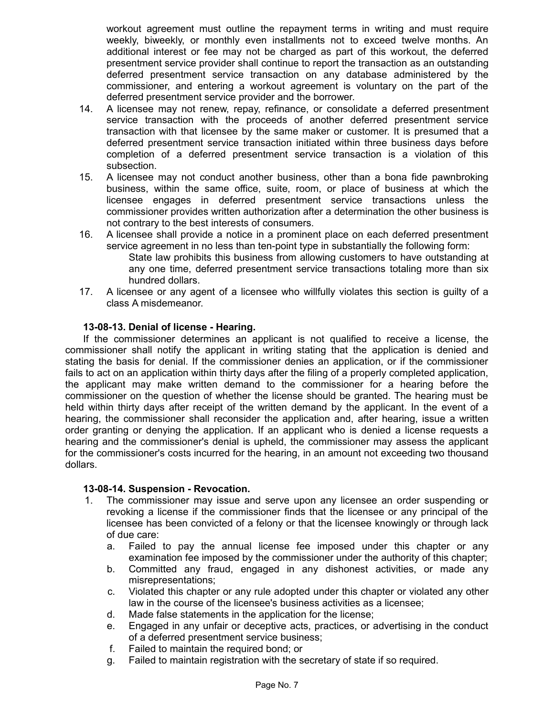workout agreement must outline the repayment terms in writing and must require weekly, biweekly, or monthly even installments not to exceed twelve months. An additional interest or fee may not be charged as part of this workout, the deferred presentment service provider shall continue to report the transaction as an outstanding deferred presentment service transaction on any database administered by the commissioner, and entering a workout agreement is voluntary on the part of the deferred presentment service provider and the borrower.

- 14. A licensee may not renew, repay, refinance, or consolidate a deferred presentment service transaction with the proceeds of another deferred presentment service transaction with that licensee by the same maker or customer. It is presumed that a deferred presentment service transaction initiated within three business days before completion of a deferred presentment service transaction is a violation of this subsection.
- 15. A licensee may not conduct another business, other than a bona fide pawnbroking business, within the same office, suite, room, or place of business at which the licensee engages in deferred presentment service transactions unless the commissioner provides written authorization after a determination the other business is not contrary to the best interests of consumers.
- 16. A licensee shall provide a notice in a prominent place on each deferred presentment service agreement in no less than ten-point type in substantially the following form: State law prohibits this business from allowing customers to have outstanding at any one time, deferred presentment service transactions totaling more than six hundred dollars.
- 17. A licensee or any agent of a licensee who willfully violates this section is guilty of a class A misdemeanor.

# **13-08-13. Denial of license - Hearing.**

If the commissioner determines an applicant is not qualified to receive a license, the commissioner shall notify the applicant in writing stating that the application is denied and stating the basis for denial. If the commissioner denies an application, or if the commissioner fails to act on an application within thirty days after the filing of a properly completed application, the applicant may make written demand to the commissioner for a hearing before the commissioner on the question of whether the license should be granted. The hearing must be held within thirty days after receipt of the written demand by the applicant. In the event of a hearing, the commissioner shall reconsider the application and, after hearing, issue a written order granting or denying the application. If an applicant who is denied a license requests a hearing and the commissioner's denial is upheld, the commissioner may assess the applicant for the commissioner's costs incurred for the hearing, in an amount not exceeding two thousand dollars.

# **13-08-14. Suspension - Revocation.**

- 1. The commissioner may issue and serve upon any licensee an order suspending or revoking a license if the commissioner finds that the licensee or any principal of the licensee has been convicted of a felony or that the licensee knowingly or through lack of due care:
	- a. Failed to pay the annual license fee imposed under this chapter or any examination fee imposed by the commissioner under the authority of this chapter;
	- b. Committed any fraud, engaged in any dishonest activities, or made any misrepresentations;
	- c. Violated this chapter or any rule adopted under this chapter or violated any other law in the course of the licensee's business activities as a licensee;
	- d. Made false statements in the application for the license;
	- e. Engaged in any unfair or deceptive acts, practices, or advertising in the conduct of a deferred presentment service business;
	- f. Failed to maintain the required bond; or
	- g. Failed to maintain registration with the secretary of state if so required.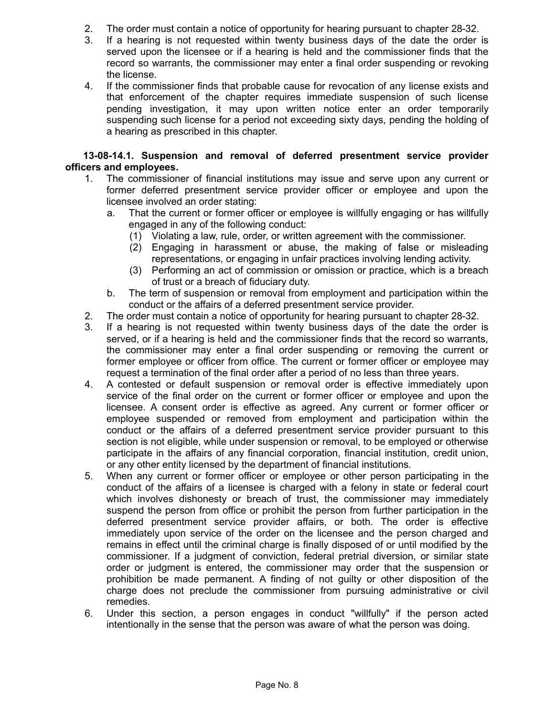- 2. The order must contain a notice of opportunity for hearing pursuant to chapter 28-32.
- 3. If a hearing is not requested within twenty business days of the date the order is served upon the licensee or if a hearing is held and the commissioner finds that the record so warrants, the commissioner may enter a final order suspending or revoking the license.
- 4. If the commissioner finds that probable cause for revocation of any license exists and that enforcement of the chapter requires immediate suspension of such license pending investigation, it may upon written notice enter an order temporarily suspending such license for a period not exceeding sixty days, pending the holding of a hearing as prescribed in this chapter.

# **13-08-14.1. Suspension and removal of deferred presentment service provider officers and employees.**

- 1. The commissioner of financial institutions may issue and serve upon any current or former deferred presentment service provider officer or employee and upon the licensee involved an order stating:
	- a. That the current or former officer or employee is willfully engaging or has willfully engaged in any of the following conduct:
		- (1) Violating a law, rule, order, or written agreement with the commissioner.
		- (2) Engaging in harassment or abuse, the making of false or misleading representations, or engaging in unfair practices involving lending activity.
		- (3) Performing an act of commission or omission or practice, which is a breach of trust or a breach of fiduciary duty.
	- b. The term of suspension or removal from employment and participation within the conduct or the affairs of a deferred presentment service provider.
- 2. The order must contain a notice of opportunity for hearing pursuant to chapter 28-32.
- 3. If a hearing is not requested within twenty business days of the date the order is served, or if a hearing is held and the commissioner finds that the record so warrants, the commissioner may enter a final order suspending or removing the current or former employee or officer from office. The current or former officer or employee may request a termination of the final order after a period of no less than three years.
- 4. A contested or default suspension or removal order is effective immediately upon service of the final order on the current or former officer or employee and upon the licensee. A consent order is effective as agreed. Any current or former officer or employee suspended or removed from employment and participation within the conduct or the affairs of a deferred presentment service provider pursuant to this section is not eligible, while under suspension or removal, to be employed or otherwise participate in the affairs of any financial corporation, financial institution, credit union, or any other entity licensed by the department of financial institutions.
- 5. When any current or former officer or employee or other person participating in the conduct of the affairs of a licensee is charged with a felony in state or federal court which involves dishonesty or breach of trust, the commissioner may immediately suspend the person from office or prohibit the person from further participation in the deferred presentment service provider affairs, or both. The order is effective immediately upon service of the order on the licensee and the person charged and remains in effect until the criminal charge is finally disposed of or until modified by the commissioner. If a judgment of conviction, federal pretrial diversion, or similar state order or judgment is entered, the commissioner may order that the suspension or prohibition be made permanent. A finding of not guilty or other disposition of the charge does not preclude the commissioner from pursuing administrative or civil remedies.
- 6. Under this section, a person engages in conduct "willfully" if the person acted intentionally in the sense that the person was aware of what the person was doing.